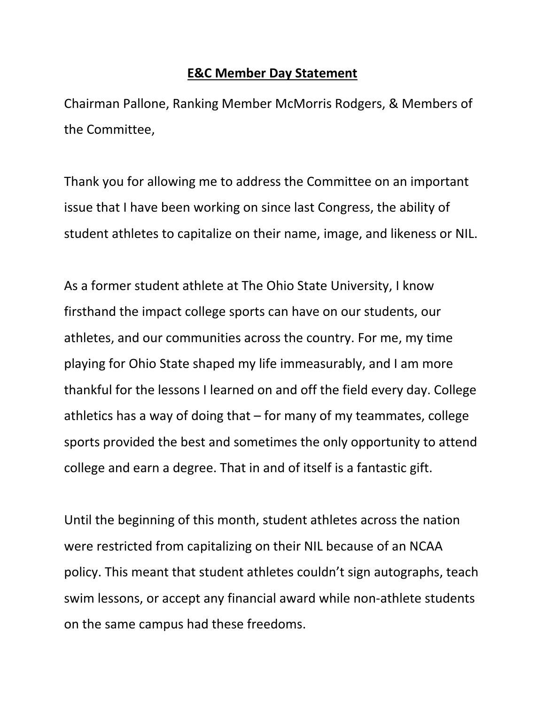## **E&C Member Day Statement**

Chairman Pallone, Ranking Member McMorris Rodgers, & Members of the Committee,

Thank you for allowing me to address the Committee on an important issue that I have been working on since last Congress, the ability of student athletes to capitalize on their name, image, and likeness or NIL.

As a former student athlete at The Ohio State University, I know firsthand the impact college sports can have on our students, our athletes, and our communities across the country. For me, my time playing for Ohio State shaped my life immeasurably, and I am more thankful for the lessons I learned on and off the field every day. College athletics has a way of doing that – for many of my teammates, college sports provided the best and sometimes the only opportunity to attend college and earn a degree. That in and of itself is a fantastic gift.

Until the beginning of this month, student athletes across the nation were restricted from capitalizing on their NIL because of an NCAA policy. This meant that student athletes couldn't sign autographs, teach swim lessons, or accept any financial award while non-athlete students on the same campus had these freedoms.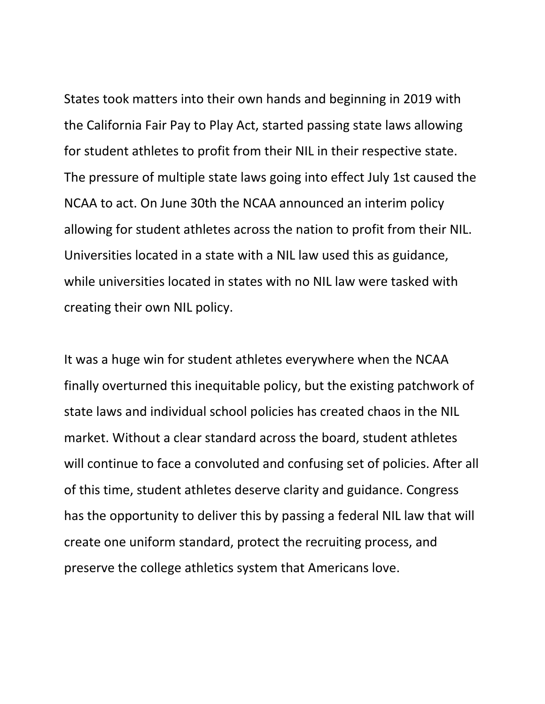States took matters into their own hands and beginning in 2019 with the California Fair Pay to Play Act, started passing state laws allowing for student athletes to profit from their NIL in their respective state. The pressure of multiple state laws going into effect July 1st caused the NCAA to act. On June 30th the NCAA announced an interim policy allowing for student athletes across the nation to profit from their NIL. Universities located in a state with a NIL law used this as guidance, while universities located in states with no NIL law were tasked with creating their own NIL policy.

It was a huge win for student athletes everywhere when the NCAA finally overturned this inequitable policy, but the existing patchwork of state laws and individual school policies has created chaos in the NIL market. Without a clear standard across the board, student athletes will continue to face a convoluted and confusing set of policies. After all of this time, student athletes deserve clarity and guidance. Congress has the opportunity to deliver this by passing a federal NIL law that will create one uniform standard, protect the recruiting process, and preserve the college athletics system that Americans love.